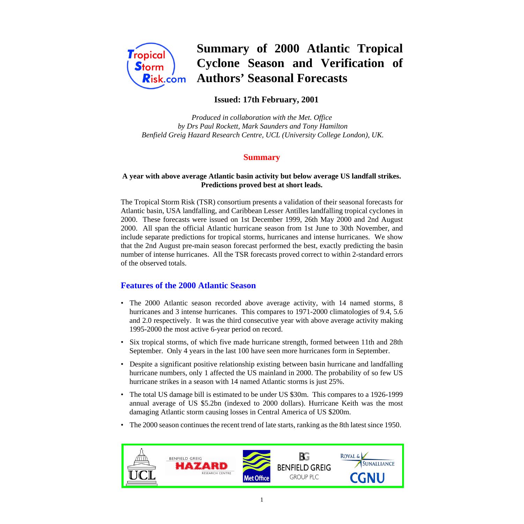

# **Summary of 2000 Atlantic Tropical Cyclone Season and Verification of Authors' Seasonal Forecasts**

# **Issued: 17th February, 2001**

*Produced in collaboration with the Met. Office by Drs Paul Rockett, Mark Saunders and Tony Hamilton Benfield Greig Hazard Research Centre, UCL (University College London), UK.*

# **Summary**

#### **A year with above average Atlantic basin activity but below average US landfall strikes. Predictions proved best at short leads.**

The Tropical Storm Risk (TSR) consortium presents a validation of their seasonal forecasts for Atlantic basin, USA landfalling, and Caribbean Lesser Antilles landfalling tropical cyclones in 2000. These forecasts were issued on 1st December 1999, 26th May 2000 and 2nd August 2000. All span the official Atlantic hurricane season from 1st June to 30th November, and include separate predictions for tropical storms, hurricanes and intense hurricanes. We show that the 2nd August pre-main season forecast performed the best, exactly predicting the basin number of intense hurricanes. All the TSR forecasts proved correct to within 2-standard errors of the observed totals.

# **Features of the 2000 Atlantic Season**

- The 2000 Atlantic season recorded above average activity, with 14 named storms, 8 hurricanes and 3 intense hurricanes. This compares to 1971-2000 climatologies of 9.4, 5.6 and 2.0 respectively. It was the third consecutive year with above average activity making 1995-2000 the most active 6-year period on record.
- Six tropical storms, of which five made hurricane strength, formed between 11th and 28th September. Only 4 years in the last 100 have seen more hurricanes form in September.
- Despite a significant positive relationship existing between basin hurricane and landfalling hurricane numbers, only 1 affected the US mainland in 2000. The probability of so few US hurricane strikes in a season with 14 named Atlantic storms is just 25%.
- The total US damage bill is estimated to be under US \$30m. This compares to a 1926-1999 annual average of US \$5.2bn (indexed to 2000 dollars). Hurricane Keith was the most damaging Atlantic storm causing losses in Central America of US \$200m.
- The 2000 season continues the recent trend of late starts, ranking as the 8th latest since 1950.

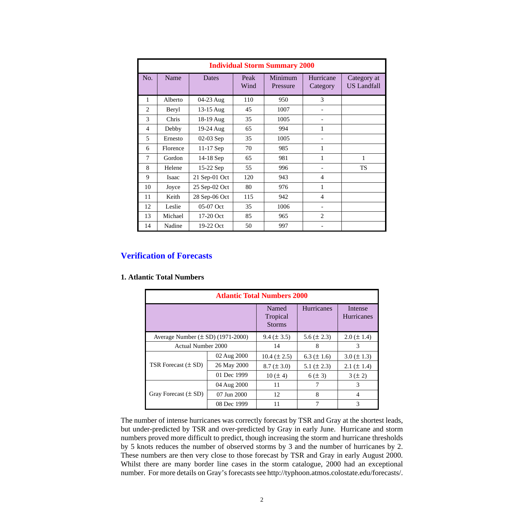| <b>Individual Storm Summary 2000</b> |              |               |              |                     |                       |                                   |
|--------------------------------------|--------------|---------------|--------------|---------------------|-----------------------|-----------------------------------|
| No.                                  | Name         | Dates         | Peak<br>Wind | Minimum<br>Pressure | Hurricane<br>Category | Category at<br><b>US Landfall</b> |
| 1                                    | Alberto      | 04-23 Aug     | 110          | 950                 | 3                     |                                   |
| $\mathfrak{D}$                       | Beryl        | 13-15 Aug     | 45           | 1007                | ۰                     |                                   |
| 3                                    | Chris        | 18-19 Aug     | 35           | 1005                |                       |                                   |
| 4                                    | Debby        | 19-24 Aug     | 65           | 994                 | 1                     |                                   |
| 5                                    | Ernesto      | 02-03 Sep     | 35           | 1005                |                       |                                   |
| 6                                    | Florence     | 11-17 Sep     | 70           | 985                 | 1                     |                                   |
| 7                                    | Gordon       | 14-18 Sep     | 65           | 981                 | 1                     | 1                                 |
| 8                                    | Helene       | 15-22 Sep     | 55           | 996                 |                       | <b>TS</b>                         |
| 9                                    | <b>Isaac</b> | 21 Sep-01 Oct | 120          | 943                 | 4                     |                                   |
| 10                                   | Joyce        | 25 Sep-02 Oct | 80           | 976                 | 1                     |                                   |
| 11                                   | Keith        | 28 Sep-06 Oct | 115          | 942                 | $\overline{4}$        |                                   |
| 12                                   | Leslie       | 05-07 Oct     | 35           | 1006                |                       |                                   |
| 13                                   | Michael      | 17-20 Oct     | 85           | 965                 | $\overline{2}$        |                                   |
| 14                                   | Nadine       | 19-22 Oct     | 50           | 997                 |                       |                                   |

# **Verification of Forecasts**

#### **1. Atlantic Total Numbers**

| <b>Atlantic Total Numbers 2000</b>    |                                    |                   |                              |                   |  |
|---------------------------------------|------------------------------------|-------------------|------------------------------|-------------------|--|
|                                       | Named<br>Tropical<br><b>Storms</b> | <b>Hurricanes</b> | Intense<br><b>Hurricanes</b> |                   |  |
| Average Number $(\pm SD)$ (1971-2000) |                                    | $9.4 (\pm 3.5)$   | $5.6 (\pm 2.3)$              | $2.0 \ (\pm 1.4)$ |  |
| <b>Actual Number 2000</b>             |                                    | 14                | 8                            | 3                 |  |
|                                       | 02 Aug 2000                        | $10.4 (\pm 2.5)$  | $6.3 (\pm 1.6)$              | $3.0 (\pm 1.3)$   |  |
| TSR Forecast $(\pm SD)$               | 26 May 2000                        | $8.7 (\pm 3.0)$   | 5.1 $(\pm 2.3)$              | 2.1 ( $\pm$ 1.4)  |  |
|                                       | 01 Dec 1999                        | $10 (\pm 4)$      | $6 (\pm 3)$                  | $3 (\pm 2)$       |  |
|                                       | 04 Aug 2000                        | 11                | 7                            | 3                 |  |
| Gray Forecast $(\pm SD)$              | 07 Jun 2000                        | 12                | 8                            | 4                 |  |
|                                       | 08 Dec 1999                        | 11                | 7                            | 3                 |  |

The number of intense hurricanes was correctly forecast by TSR and Gray at the shortest leads, but under-predicted by TSR and over-predicted by Gray in early June. Hurricane and storm numbers proved more difficult to predict, though increasing the storm and hurricane thresholds by 5 knots reduces the number of observed storms by 3 and the number of hurricanes by 2. These numbers are then very close to those forecast by TSR and Gray in early August 2000. Whilst there are many border line cases in the storm catalogue, 2000 had an exceptional number. For more details on Gray's forecasts see http://typhoon.atmos.colostate.edu/forecasts/.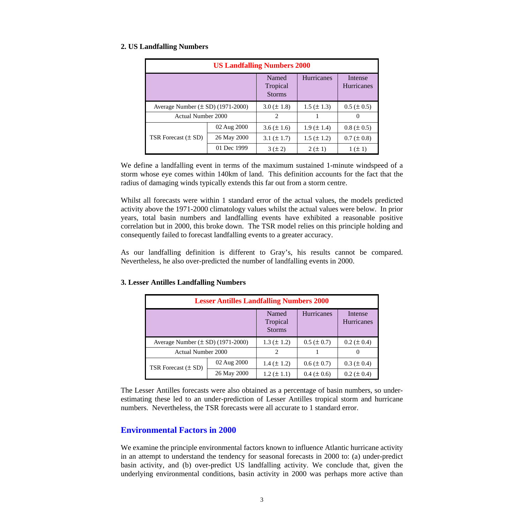## **2. US Landfalling Numbers**

| <b>US Landfalling Numbers 2000</b>    |                                    |                   |                              |                 |  |
|---------------------------------------|------------------------------------|-------------------|------------------------------|-----------------|--|
|                                       | Named<br>Tropical<br><b>Storms</b> | <b>Hurricanes</b> | Intense<br><b>Hurricanes</b> |                 |  |
| Average Number $(\pm SD)$ (1971-2000) |                                    | $3.0 \ (\pm 1.8)$ | $1.5 (\pm 1.3)$              | $0.5 (\pm 0.5)$ |  |
| Actual Number 2000                    |                                    | 2                 |                              | $\theta$        |  |
|                                       | 02 Aug 2000                        | $3.6 (\pm 1.6)$   | $1.9 \ (\pm 1.4)$            | $0.8 (\pm 0.5)$ |  |
| TSR Forecast $(\pm SD)$               | 26 May 2000                        | 3.1 $(\pm 1.7)$   | $1.5 (\pm 1.2)$              | $0.7 (\pm 0.8)$ |  |
|                                       | 01 Dec 1999                        | $3 (\pm 2)$       | $2 (\pm 1)$                  | $1 (\pm 1)$     |  |

We define a landfalling event in terms of the maximum sustained 1-minute windspeed of a storm whose eye comes within 140km of land. This definition accounts for the fact that the radius of damaging winds typically extends this far out from a storm centre.

Whilst all forecasts were within 1 standard error of the actual values, the models predicted activity above the 1971-2000 climatology values whilst the actual values were below. In prior years, total basin numbers and landfalling events have exhibited a reasonable positive correlation but in 2000, this broke down. The TSR model relies on this principle holding and consequently failed to forecast landfalling events to a greater accuracy.

As our landfalling definition is different to Gray's, his results cannot be compared. Nevertheless, he also over-predicted the number of landfalling events in 2000.

| <b>Lesser Antilles Landfalling Numbers 2000</b> |             |                                    |                   |                       |  |
|-------------------------------------------------|-------------|------------------------------------|-------------------|-----------------------|--|
|                                                 |             | Named<br>Tropical<br><b>Storms</b> | <b>Hurricanes</b> | Intense<br>Hurricanes |  |
| Average Number $(\pm SD)$ (1971-2000)           |             | $1.3 (\pm 1.2)$                    | $0.5 (\pm 0.7)$   | $0.2 (\pm 0.4)$       |  |
| <b>Actual Number 2000</b>                       |             | 2                                  |                   | $\theta$              |  |
| TSR Forecast $(\pm SD)$                         | 02 Aug 2000 | $1.4 \ (\pm 1.2)$                  | $0.6 (\pm 0.7)$   | $0.3 (\pm 0.4)$       |  |
|                                                 | 26 May 2000 | $1.2 (\pm 1.1)$                    | $0.4 (\pm 0.6)$   | $0.2 (\pm 0.4)$       |  |

## **3. Lesser Antilles Landfalling Numbers**

The Lesser Antilles forecasts were also obtained as a percentage of basin numbers, so underestimating these led to an under-prediction of Lesser Antilles tropical storm and hurricane numbers. Nevertheless, the TSR forecasts were all accurate to 1 standard error.

# **Environmental Factors in 2000**

We examine the principle environmental factors known to influence Atlantic hurricane activity in an attempt to understand the tendency for seasonal forecasts in 2000 to: (a) under-predict basin activity, and (b) over-predict US landfalling activity. We conclude that, given the underlying environmental conditions, basin activity in 2000 was perhaps more active than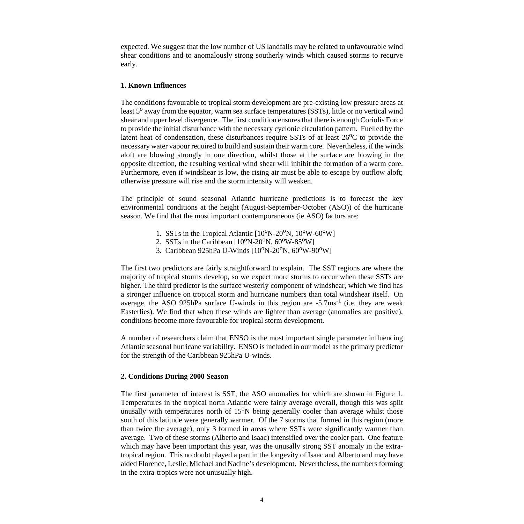expected. We suggest that the low number of US landfalls may be related to unfavourable wind shear conditions and to anomalously strong southerly winds which caused storms to recurve early.

## **1. Known Influences**

The conditions favourable to tropical storm development are pre-existing low pressure areas at least  $5^{\circ}$  away from the equator, warm sea surface temperatures (SSTs), little or no vertical wind shear and upper level divergence. The first condition ensures that there is enough Coriolis Force to provide the initial disturbance with the necessary cyclonic circulation pattern. Fuelled by the latent heat of condensation, these disturbances require SSTs of at least  $26^{\circ}$ C to provide the necessary water vapour required to build and sustain their warm core. Nevertheless, if the winds aloft are blowing strongly in one direction, whilst those at the surface are blowing in the opposite direction, the resulting vertical wind shear will inhibit the formation of a warm core. Furthermore, even if windshear is low, the rising air must be able to escape by outflow aloft; otherwise pressure will rise and the storm intensity will weaken.

The principle of sound seasonal Atlantic hurricane predictions is to forecast the key environmental conditions at the height (August-September-October (ASO)) of the hurricane season. We find that the most important contemporaneous (ie ASO) factors are:

- 1. SSTs in the Tropical Atlantic  $[10^0N-20^0N, 10^0W-60^0W]$
- 2. SSTs in the Caribbean  $[10^{\circ}N-20^{\circ}N, 60^{\circ}W-85^{\circ}W]$
- 3. Caribbean 925hPa U-Winds  $[10^{\circ}N-20^{\circ}N, 60^{\circ}W-90^{\circ}W]$

The first two predictors are fairly straightforward to explain. The SST regions are where the majority of tropical storms develop, so we expect more storms to occur when these SSTs are higher. The third predictor is the surface westerly component of windshear, which we find has a stronger influence on tropical storm and hurricane numbers than total windshear itself. On average, the ASO 925hPa surface U-winds in this region are  $-5.7 \text{ms}^{-1}$  (i.e. they are weak Easterlies). We find that when these winds are lighter than average (anomalies are positive), conditions become more favourable for tropical storm development.

A number of researchers claim that ENSO is the most important single parameter influencing Atlantic seasonal hurricane variability. ENSO is included in our model as the primary predictor for the strength of the Caribbean 925hPa U-winds.

#### **2. Conditions During 2000 Season**

The first parameter of interest is SST, the ASO anomalies for which are shown in Figure 1. Temperatures in the tropical north Atlantic were fairly average overall, though this was split unusally with temperatures north of  $15^{\circ}$ N being generally cooler than average whilst those south of this latitude were generally warmer. Of the 7 storms that formed in this region (more than twice the average), only 3 formed in areas where SSTs were significantly warmer than average. Two of these storms (Alberto and Isaac) intensified over the cooler part. One feature which may have been important this year, was the unusally strong SST anomaly in the extratropical region. This no doubt played a part in the longevity of Isaac and Alberto and may have aided Florence, Leslie, Michael and Nadine's development. Nevertheless, the numbers forming in the extra-tropics were not unusually high.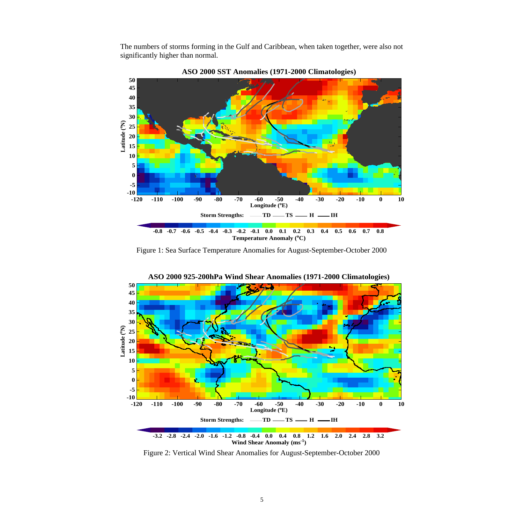The numbers of storms forming in the Gulf and Caribbean, when taken together, were also not significantly higher than normal.



**ASO 2000 SST Anomalies (1971-2000 Climatologies)**

Figure 1: Sea Surface Temperature Anomalies for August-September-October 2000



**ASO 2000 925-200hPa Wind Shear Anomalies (1971-2000 Climatologies)**

Figure 2: Vertical Wind Shear Anomalies for August-September-October 2000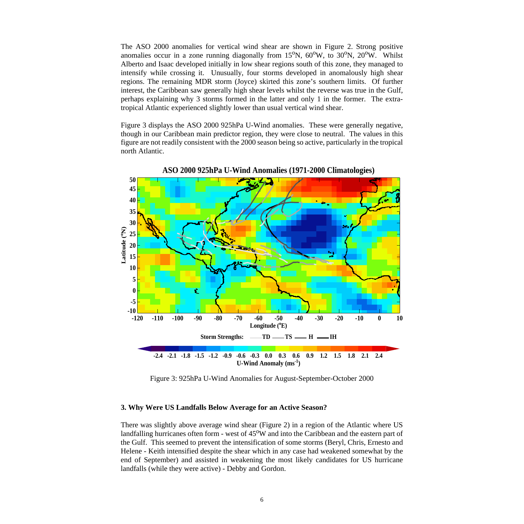The ASO 2000 anomalies for vertical wind shear are shown in Figure 2. Strong positive anomalies occur in a zone running diagonally from  $15^{\circ}N$ ,  $60^{\circ}W$ , to  $30^{\circ}N$ ,  $20^{\circ}W$ . Whilst Alberto and Isaac developed initially in low shear regions south of this zone, they managed to intensify while crossing it. Unusually, four storms developed in anomalously high shear regions. The remaining MDR storm (Joyce) skirted this zone's southern limits. Of further interest, the Caribbean saw generally high shear levels whilst the reverse was true in the Gulf, perhaps explaining why 3 storms formed in the latter and only 1 in the former. The extratropical Atlantic experienced slightly lower than usual vertical wind shear.

Figure 3 displays the ASO 2000 925hPa U-Wind anomalies. These were generally negative, though in our Caribbean main predictor region, they were close to neutral. The values in this figure are not readily consistent with the 2000 season being so active, particularly in the tropical north Atlantic.



**ASO 2000 925hPa U-Wind Anomalies (1971-2000 Climatologies)**

Figure 3: 925hPa U-Wind Anomalies for August-September-October 2000

#### **3. Why Were US Landfalls Below Average for an Active Season?**

There was slightly above average wind shear (Figure 2) in a region of the Atlantic where US landfalling hurricanes often form - west of 45<sup>o</sup>W and into the Caribbean and the eastern part of the Gulf. This seemed to prevent the intensification of some storms (Beryl, Chris, Ernesto and Helene - Keith intensified despite the shear which in any case had weakened somewhat by the end of September) and assisted in weakening the most likely candidates for US hurricane landfalls (while they were active) - Debby and Gordon.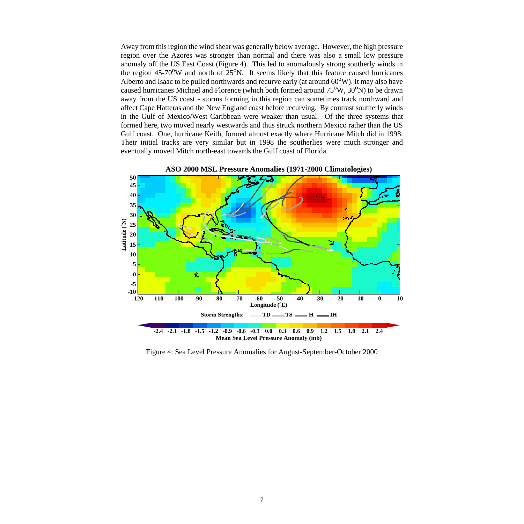Away from this region the wind shear was generally below average. However, the high pressure region over the Azores was stronger than normal and there was also a small low pressure anomaly off the US East Coast (Figure 4). This led to anomalously strong southerly winds in the region  $45\text{-}70^{\text{o}}$ W and north of  $25^{\text{o}}$ N. It seems likely that this feature caused hurricanes Alberto and Isaac to be pulled northwards and recurve early (at around  $60^{\circ}$ W). It may also have caused hurricanes Michael and Florence (which both formed around  $75^{\circ}$ W,  $30^{\circ}$ N) to be drawn away from the US coast - storms forming in this region can sometimes track northward and affect Cape Hatteras and the New England coast before recurving. By contrast southerly winds in the Gulf of Mexico/West Caribbean were weaker than usual. Of the three systems that formed here, two moved nearly westwards and thus struck northern Mexico rather than the US Gulf coast. One, hurricane Keith, formed almost exactly where Hurricane Mitch did in 1998. Their initial tracks are very similar but in 1998 the southerlies were much stronger and eventually moved Mitch north-east towards the Gulf coast of Florida.



**ASO 2000 MSL Pressure Anomalies (1971-2000 Climatologies)**

Figure 4: Sea Level Pressure Anomalies for August-September-October 2000